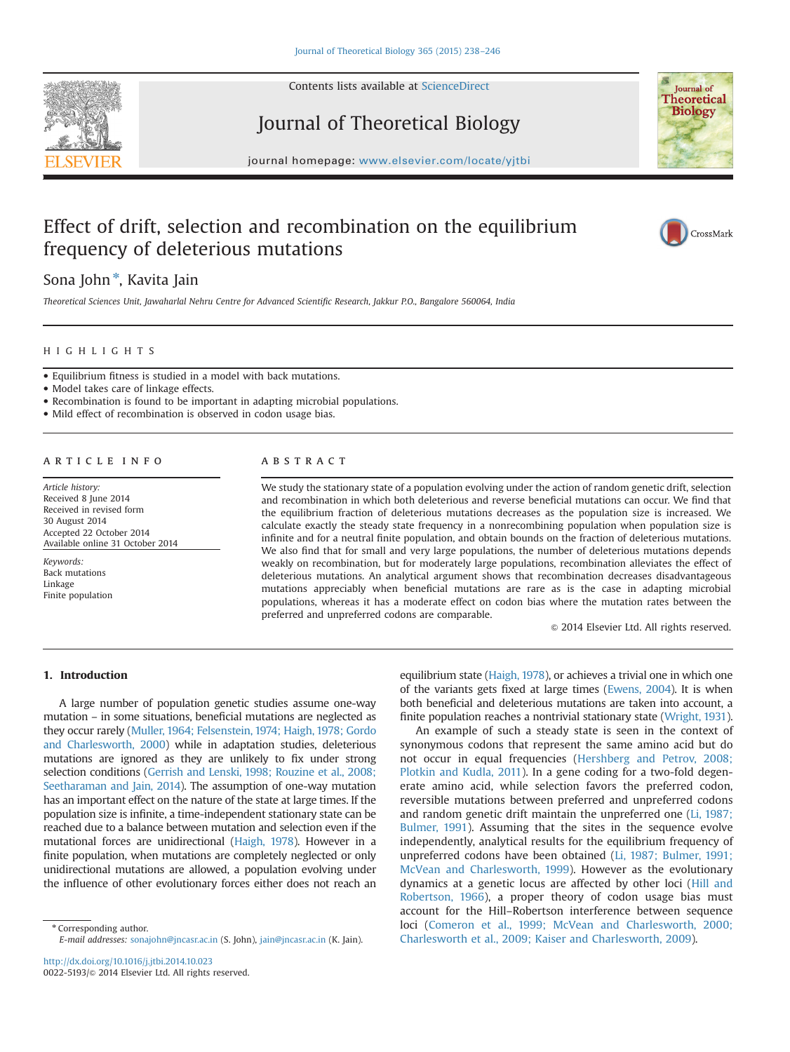

Contents lists available at [ScienceDirect](www.sciencedirect.com/science/journal/00225193)

Journal of Theoretical Biology



journal homepage: <www.elsevier.com/locate/yjtbi>

# Effect of drift, selection and recombination on the equilibrium frequency of deleterious mutations

CrossMark

Sona John<sup>\*</sup>, Kavita Jain

Theoretical Sciences Unit, Jawaharlal Nehru Centre for Advanced Scientific Research, Jakkur P.O., Bangalore 560064, India

# HIGHLIGHTS

Equilibrium fitness is studied in a model with back mutations.

• Model takes care of linkage effects.

Recombination is found to be important in adapting microbial populations.

• Mild effect of recombination is observed in codon usage bias.

# article info

Article history: Received 8 June 2014 Received in revised form 30 August 2014 Accepted 22 October 2014 Available online 31 October 2014

Keywords: Back mutations Linkage Finite population

# **ABSTRACT**

We study the stationary state of a population evolving under the action of random genetic drift, selection and recombination in which both deleterious and reverse beneficial mutations can occur. We find that the equilibrium fraction of deleterious mutations decreases as the population size is increased. We calculate exactly the steady state frequency in a nonrecombining population when population size is infinite and for a neutral finite population, and obtain bounds on the fraction of deleterious mutations. We also find that for small and very large populations, the number of deleterious mutations depends weakly on recombination, but for moderately large populations, recombination alleviates the effect of deleterious mutations. An analytical argument shows that recombination decreases disadvantageous mutations appreciably when beneficial mutations are rare as is the case in adapting microbial populations, whereas it has a moderate effect on codon bias where the mutation rates between the preferred and unpreferred codons are comparable.

 $@$  2014 Elsevier Ltd. All rights reserved.

# 1. Introduction

A large number of population genetic studies assume one-way mutation – in some situations, beneficial mutations are neglected as they occur rarely [\(Muller, 1964; Felsenstein, 1974; Haigh, 1978; Gordo](#page-8-0) [and Charlesworth, 2000\)](#page-8-0) while in adaptation studies, deleterious mutations are ignored as they are unlikely to fix under strong selection conditions [\(Gerrish and Lenski, 1998; Rouzine et al., 2008;](#page-8-0) [Seetharaman and Jain, 2014\)](#page-8-0). The assumption of one-way mutation has an important effect on the nature of the state at large times. If the population size is infinite, a time-independent stationary state can be reached due to a balance between mutation and selection even if the mutational forces are unidirectional ([Haigh, 1978](#page-8-0)). However in a finite population, when mutations are completely neglected or only unidirectional mutations are allowed, a population evolving under the influence of other evolutionary forces either does not reach an

\* Corresponding author. E-mail addresses: [sonajohn@jncasr.ac.in](mailto:sonajohn@jncasr.ac.in) (S. John), [jain@jncasr.ac.in](mailto:jain@jncasr.ac.in) (K. Jain). equilibrium state ([Haigh, 1978\)](#page-8-0), or achieves a trivial one in which one of the variants gets fixed at large times [\(Ewens, 2004\)](#page-7-0). It is when both beneficial and deleterious mutations are taken into account, a finite population reaches a nontrivial stationary state [\(Wright, 1931\)](#page-8-0).

An example of such a steady state is seen in the context of synonymous codons that represent the same amino acid but do not occur in equal frequencies ([Hershberg and Petrov, 2008;](#page-8-0) [Plotkin and Kudla, 2011](#page-8-0)). In a gene coding for a two-fold degenerate amino acid, while selection favors the preferred codon, reversible mutations between preferred and unpreferred codons and random genetic drift maintain the unpreferred one ([Li, 1987;](#page-8-0) [Bulmer, 1991\)](#page-7-0). Assuming that the sites in the sequence evolve independently, analytical results for the equilibrium frequency of unpreferred codons have been obtained ([Li, 1987; Bulmer, 1991;](#page-7-0) [McVean and Charlesworth, 1999](#page-8-0)). However as the evolutionary dynamics at a genetic locus are affected by other loci [\(Hill and](#page-8-0) [Robertson, 1966](#page-8-0)), a proper theory of codon usage bias must account for the Hill–Robertson interference between sequence loci [\(Comeron et al., 1999; McVean and Charlesworth, 2000;](#page-8-0) [Charlesworth et al., 2009; Kaiser and Charlesworth, 2009](#page-8-0)).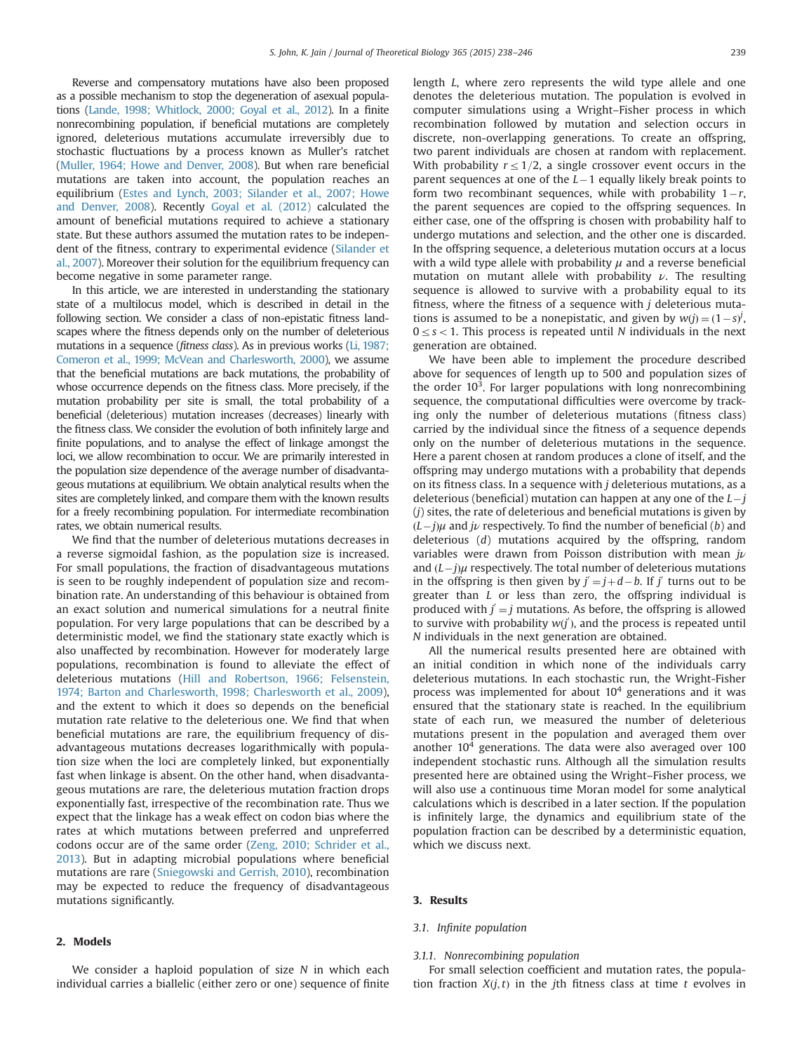Reverse and compensatory mutations have also been proposed as a possible mechanism to stop the degeneration of asexual populations [\(Lande, 1998; Whitlock, 2000; Goyal et al., 2012](#page-8-0)). In a finite nonrecombining population, if beneficial mutations are completely ignored, deleterious mutations accumulate irreversibly due to stochastic fluctuations by a process known as Muller's ratchet [\(Muller, 1964; Howe and Denver, 2008](#page-8-0)). But when rare beneficial mutations are taken into account, the population reaches an equilibrium ([Estes and Lynch, 2003; Silander et al., 2007; Howe](#page-8-0) [and Denver, 2008](#page-8-0)). Recently [Goyal et al. \(2012\)](#page-8-0) calculated the amount of beneficial mutations required to achieve a stationary state. But these authors assumed the mutation rates to be independent of the fitness, contrary to experimental evidence [\(Silander et](#page-8-0) [al., 2007](#page-8-0)). Moreover their solution for the equilibrium frequency can become negative in some parameter range.

In this article, we are interested in understanding the stationary state of a multilocus model, which is described in detail in the following section. We consider a class of non-epistatic fitness landscapes where the fitness depends only on the number of deleterious mutations in a sequence (fitness class). As in previous works ([Li, 1987;](#page-8-0) [Comeron et al., 1999; McVean and Charlesworth, 2000\)](#page-8-0), we assume that the beneficial mutations are back mutations, the probability of whose occurrence depends on the fitness class. More precisely, if the mutation probability per site is small, the total probability of a beneficial (deleterious) mutation increases (decreases) linearly with the fitness class. We consider the evolution of both infinitely large and finite populations, and to analyse the effect of linkage amongst the loci, we allow recombination to occur. We are primarily interested in the population size dependence of the average number of disadvantageous mutations at equilibrium. We obtain analytical results when the sites are completely linked, and compare them with the known results for a freely recombining population. For intermediate recombination rates, we obtain numerical results.

We find that the number of deleterious mutations decreases in a reverse sigmoidal fashion, as the population size is increased. For small populations, the fraction of disadvantageous mutations is seen to be roughly independent of population size and recombination rate. An understanding of this behaviour is obtained from an exact solution and numerical simulations for a neutral finite population. For very large populations that can be described by a deterministic model, we find the stationary state exactly which is also unaffected by recombination. However for moderately large populations, recombination is found to alleviate the effect of deleterious mutations ([Hill and Robertson, 1966; Felsenstein,](#page-7-0) [1974; Barton and Charlesworth, 1998; Charlesworth et al., 2009\)](#page-7-0), and the extent to which it does so depends on the beneficial mutation rate relative to the deleterious one. We find that when beneficial mutations are rare, the equilibrium frequency of disadvantageous mutations decreases logarithmically with population size when the loci are completely linked, but exponentially fast when linkage is absent. On the other hand, when disadvantageous mutations are rare, the deleterious mutation fraction drops exponentially fast, irrespective of the recombination rate. Thus we expect that the linkage has a weak effect on codon bias where the rates at which mutations between preferred and unpreferred codons occur are of the same order [\(Zeng, 2010; Schrider et al.,](#page-8-0) [2013\)](#page-8-0). But in adapting microbial populations where beneficial mutations are rare ([Sniegowski and Gerrish, 2010\)](#page-8-0), recombination may be expected to reduce the frequency of disadvantageous mutations significantly.

## 2. Models

We consider a haploid population of size N in which each individual carries a biallelic (either zero or one) sequence of finite length L, where zero represents the wild type allele and one denotes the deleterious mutation. The population is evolved in computer simulations using a Wright–Fisher process in which recombination followed by mutation and selection occurs in discrete, non-overlapping generations. To create an offspring, two parent individuals are chosen at random with replacement. With probability  $r \leq 1/2$ , a single crossover event occurs in the parent sequences at one of the  $L-1$  equally likely break points to form two recombinant sequences, while with probability  $1-r$ , the parent sequences are copied to the offspring sequences. In either case, one of the offspring is chosen with probability half to undergo mutations and selection, and the other one is discarded. In the offspring sequence, a deleterious mutation occurs at a locus with a wild type allele with probability  $\mu$  and a reverse beneficial mutation on mutant allele with probability  $\nu$ . The resulting sequence is allowed to survive with a probability equal to its fitness, where the fitness of a sequence with  $j$  deleterious mutations is assumed to be a nonepistatic, and given by  $w(j) = (1 - s)^j$ ,  $0 \leq s < 1$ . This process is repeated until N individuals in the next generation are obtained.

We have been able to implement the procedure described above for sequences of length up to 500 and population sizes of the order  $10<sup>3</sup>$ . For larger populations with long nonrecombining sequence, the computational difficulties were overcome by tracking only the number of deleterious mutations (fitness class) carried by the individual since the fitness of a sequence depends only on the number of deleterious mutations in the sequence. Here a parent chosen at random produces a clone of itself, and the offspring may undergo mutations with a probability that depends on its fitness class. In a sequence with  $j$  deleterious mutations, as a deleterious (beneficial) mutation can happen at any one of the  $L-j$  $(i)$  sites, the rate of deleterious and beneficial mutations is given by  $(L-j)\mu$  and  $j\nu$  respectively. To find the number of beneficial (b) and deleterious (d) mutations acquired by the offspring, random variables were drawn from Poisson distribution with mean  $j\nu$ and  $(L-j)\mu$  respectively. The total number of deleterious mutations in the offspring is then given by  $j' = j + d - b$ . If j' turns out to be greater than L or less than zero, the offspring individual is produced with  $j = j$  mutations. As before, the offspring is allowed to survive with probability  $w(j')$ , and the process is repeated until N individuals in the next generation are obtained.

All the numerical results presented here are obtained with an initial condition in which none of the individuals carry deleterious mutations. In each stochastic run, the Wright-Fisher process was implemented for about  $10<sup>4</sup>$  generations and it was ensured that the stationary state is reached. In the equilibrium state of each run, we measured the number of deleterious mutations present in the population and averaged them over another  $10<sup>4</sup>$  generations. The data were also averaged over 100 independent stochastic runs. Although all the simulation results presented here are obtained using the Wright–Fisher process, we will also use a continuous time Moran model for some analytical calculations which is described in a later section. If the population is infinitely large, the dynamics and equilibrium state of the population fraction can be described by a deterministic equation, which we discuss next.

#### 3. Results

#### 3.1. Infinite population

#### 3.1.1. Nonrecombining population

For small selection coefficient and mutation rates, the population fraction  $X(j, t)$  in the jth fitness class at time t evolves in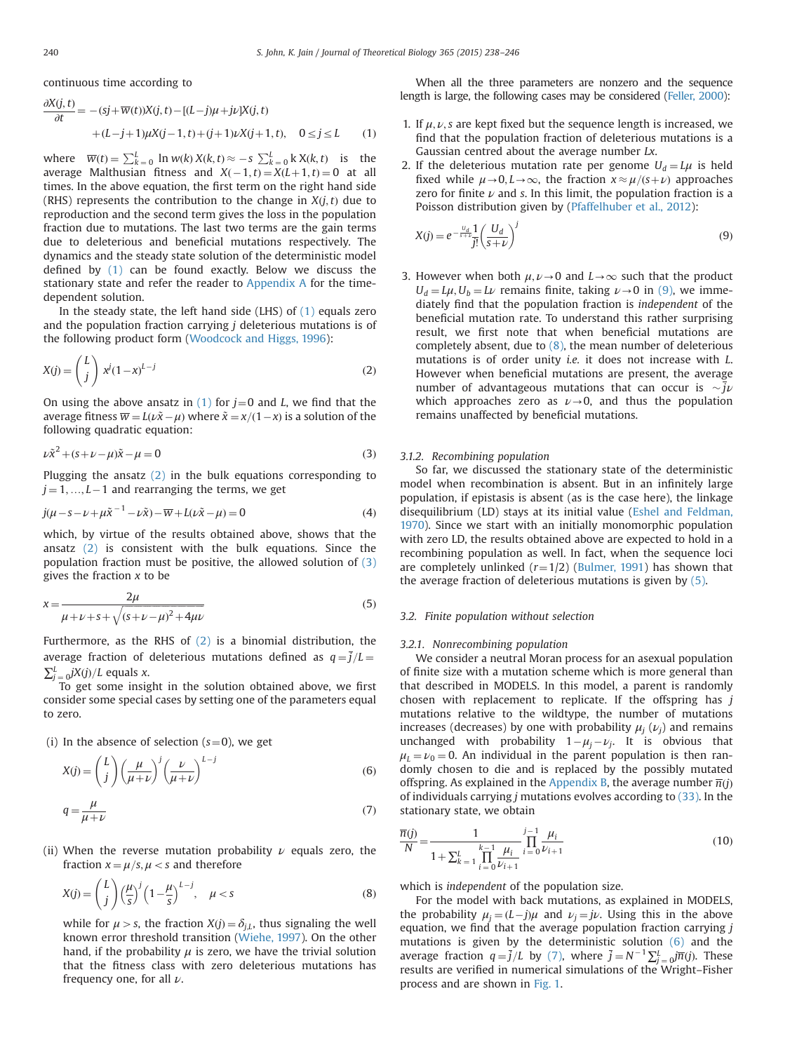<span id="page-2-0"></span>continuous time according to

$$
\frac{\partial X(j,t)}{\partial t} = -(sj + \overline{w}(t))X(j,t) - [(L-j)\mu + j\nu]X(j,t) \n+ (L-j+1)\mu X(j-1,t) + (j+1)\nu X(j+1,t), \quad 0 \le j \le L
$$
\n(1)

where  $\overline{w}(t) = \sum_{k=0}^{L} \ln w(k) X(k, t) \approx -s \sum_{k=0}^{L} k X(k, t)$  is the average Malthusian fitness and  $X(-1,t) = X(L+1,t) = 0$  at all times. In the above equation, the first term on the right hand side (RHS) represents the contribution to the change in  $X(i, t)$  due to reproduction and the second term gives the loss in the population fraction due to mutations. The last two terms are the gain terms due to deleterious and beneficial mutations respectively. The dynamics and the steady state solution of the deterministic model defined by (1) can be found exactly. Below we discuss the stationary state and refer the reader to [Appendix A](#page-6-0) for the timedependent solution.

In the steady state, the left hand side (LHS) of (1) equals zero and the population fraction carrying  $j$  deleterious mutations is of the following product form ([Woodcock and Higgs, 1996\)](#page-8-0):

$$
X(j) = \binom{L}{j} x^j (1-x)^{L-j} \tag{2}
$$

On using the above ansatz in (1) for  $j=0$  and L, we find that the average fitness  $\overline{w} = L(\nu \tilde{x} - \mu)$  where  $\tilde{x} = x/(1-x)$  is a solution of the following quadratic equation:

$$
\nu \tilde{x}^2 + (s + \nu - \mu) \tilde{x} - \mu = 0 \tag{3}
$$

Plugging the ansatz  $(2)$  in the bulk equations corresponding to  $j = 1, ..., L-1$  and rearranging the terms, we get

$$
j(\mu - s - \nu + \mu \tilde{x}^{-1} - \nu \tilde{x}) - \overline{w} + L(\nu \tilde{x} - \mu) = 0
$$
\n(4)

which, by virtue of the results obtained above, shows that the ansatz (2) is consistent with the bulk equations. Since the population fraction must be positive, the allowed solution of (3) gives the fraction  $x$  to be

$$
x = \frac{2\mu}{\mu + \nu + s + \sqrt{(s + \nu - \mu)^2 + 4\mu\nu}}
$$
(5)

Furthermore, as the RHS of (2) is a binomial distribution, the average fraction of deleterious mutations defined as  $q = \bar{j}/L$  =  $\sum_{j=0}^{L} jX(j)/L$  equals x.

To get some insight in the solution obtained above, we first consider some special cases by setting one of the parameters equal to zero.

(i) In the absence of selection  $(s=0)$ , we get

$$
X(j) = {L \choose j} \left(\frac{\mu}{\mu + \nu}\right)^j \left(\frac{\nu}{\mu + \nu}\right)^{L-j}
$$
(6)  

$$
q = \frac{\mu}{\mu + \nu}
$$
(7)

(ii) When the reverse mutation probability  $\nu$  equals zero, the fraction  $x = \mu/s, \mu < s$  and therefore

$$
X(j) = \binom{L}{j} \left(\frac{\mu}{s}\right)^j \left(1 - \frac{\mu}{s}\right)^{L-j}, \quad \mu < s \tag{8}
$$

while for  $\mu > s$ , the fraction  $X(j) = \delta_{j,L}$ , thus signaling the well known error threshold transition ([Wiehe, 1997\)](#page-8-0). On the other hand, if the probability  $\mu$  is zero, we have the trivial solution that the fitness class with zero deleterious mutations has frequency one, for all  $\nu$ .

When all the three parameters are nonzero and the sequence length is large, the following cases may be considered [\(Feller, 2000](#page-7-0)):

- 1. If  $\mu$ ,  $\nu$ , s are kept fixed but the sequence length is increased, we find that the population fraction of deleterious mutations is a Gaussian centred about the average number Lx.
- 2. If the deleterious mutation rate per genome  $U_d = L\mu$  is held fixed while  $\mu \rightarrow 0, L \rightarrow \infty$ , the fraction  $x \approx \mu/(s+\nu)$  approaches zero for finite  $\nu$  and s. In this limit, the population fraction is a Poisson distribution given by ([Pfaffelhuber et al., 2012](#page-8-0)):

$$
X(j) = e^{-\frac{U_d}{s+U}} \frac{1}{j!} \left(\frac{U_d}{s+\nu}\right)^j
$$
\n(9)

3. However when both  $\mu$ ,  $\nu \rightarrow 0$  and  $L \rightarrow \infty$  such that the product  $U_d = L\mu$ ,  $U_b = L\nu$  remains finite, taking  $\nu \rightarrow 0$  in (9), we immediately find that the population fraction is independent of the beneficial mutation rate. To understand this rather surprising result, we first note that when beneficial mutations are completely absent, due to  $(8)$ , the mean number of deleterious mutations is of order unity i.e. it does not increase with L. However when beneficial mutations are present, the average number of advantageous mutations that can occur is  $\sim j\nu$ which approaches zero as  $\nu \rightarrow 0$ , and thus the population remains unaffected by beneficial mutations.

### 3.1.2. Recombining population

So far, we discussed the stationary state of the deterministic model when recombination is absent. But in an infinitely large population, if epistasis is absent (as is the case here), the linkage disequilibrium (LD) stays at its initial value [\(Eshel and Feldman,](#page-7-0) [1970\)](#page-7-0). Since we start with an initially monomorphic population with zero LD, the results obtained above are expected to hold in a recombining population as well. In fact, when the sequence loci are completely unlinked  $(r=1/2)$  ([Bulmer, 1991\)](#page-7-0) has shown that the average fraction of deleterious mutations is given by (5).

## 3.2. Finite population without selection

## 3.2.1. Nonrecombining population

We consider a neutral Moran process for an asexual population of finite size with a mutation scheme which is more general than that described in MODELS. In this model, a parent is randomly chosen with replacement to replicate. If the offspring has  $j$ mutations relative to the wildtype, the number of mutations increases (decreases) by one with probability  $\mu_j(\nu_j)$  and remains unchanged with probability  $1-\mu_i-\nu_i$ . It is obvious that  $\mu_1 = \nu_0 = 0$ . An individual in the parent population is then randomly chosen to die and is replaced by the possibly mutated offspring. As explained in the [Appendix B,](#page-7-0) the average number  $\overline{n}(j)$ of individuals carrying  $j$  mutations evolves according to  $(33)$ . In the stationary state, we obtain

$$
\frac{\overline{n}(j)}{N} = \frac{1}{1 + \sum_{k=1}^{L} \prod_{i=0}^{k-1} \frac{\mu_i}{\nu_{i+1}}} \prod_{i=0}^{j-1} \frac{\mu_i}{\nu_{i+1}}
$$
(10)

which is independent of the population size.

For the model with back mutations, as explained in MODELS, the probability  $\mu_i = (L-j)\mu$  and  $\nu_i = j\nu$ . Using this in the above equation, we find that the average population fraction carrying  $j$ mutations is given by the deterministic solution (6) and the average fraction  $q = \bar{j}/L$  by (7), where  $\bar{j} = N^{-1} \sum_{i=1}^{L} \bar{m}(j)$ . These results are verified in numerical simulations of the Wright–Fisher process and are shown in [Fig. 1.](#page-3-0)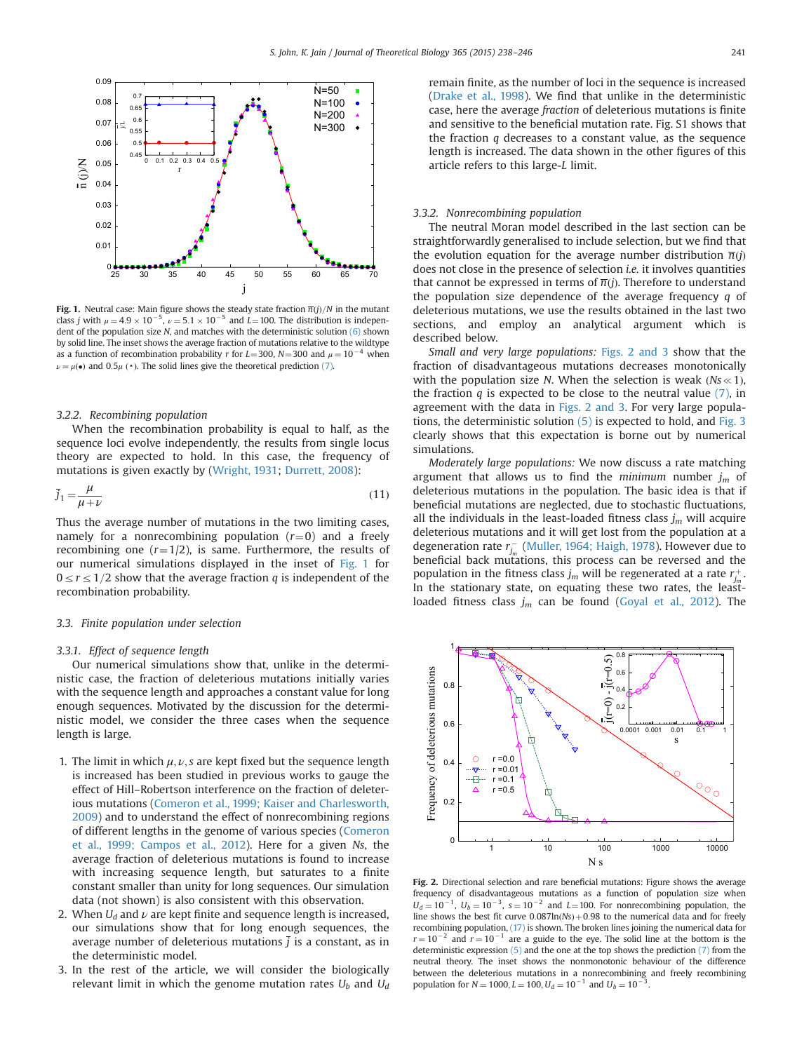<span id="page-3-0"></span>

**Fig. 1.** Neutral case: Main figure shows the steady state fraction  $\overline{n}(i)/N$  in the mutant class j with  $\mu = 4.9 \times 10^{-5}$ ,  $\nu = 5.1 \times 10^{-5}$  and  $\dot{L} = 100$ . The distribution is independent of the population size N, and matches with the deterministic solution [\(6\)](#page-2-0) shown by solid line. The inset shows the average fraction of mutations relative to the wildtype as a function of recombination probability r for  $L=300$ , N = 300 and  $\mu = 10^{-4}$  when  $\nu = \mu(\bullet)$  and 0.5 $\mu$  ( $\bullet$ ). The solid lines give the theoretical prediction [\(7\).](#page-2-0)

## 3.2.2. Recombining population

When the recombination probability is equal to half, as the sequence loci evolve independently, the results from single locus theory are expected to hold. In this case, the frequency of mutations is given exactly by [\(Wright, 1931](#page-8-0); [Durrett, 2008\)](#page-7-0):

$$
\bar{j}_1 = \frac{\mu}{\mu + \nu} \tag{11}
$$

Thus the average number of mutations in the two limiting cases, namely for a nonrecombining population  $(r=0)$  and a freely recombining one  $(r=1/2)$ , is same. Furthermore, the results of our numerical simulations displayed in the inset of Fig. 1 for  $0 \le r \le 1/2$  show that the average fraction q is independent of the recombination probability.

#### 3.3. Finite population under selection

#### 3.3.1. Effect of sequence length

Our numerical simulations show that, unlike in the deterministic case, the fraction of deleterious mutations initially varies with the sequence length and approaches a constant value for long enough sequences. Motivated by the discussion for the deterministic model, we consider the three cases when the sequence length is large.

- 1. The limit in which  $\mu$ ,  $\nu$ , s are kept fixed but the sequence length is increased has been studied in previous works to gauge the effect of Hill–Robertson interference on the fraction of deleterious mutations [\(Comeron et al., 1999; Kaiser and Charlesworth,](#page-8-0) [2009\)](#page-8-0) and to understand the effect of nonrecombining regions of different lengths in the genome of various species [\(Comeron](#page-7-0) [et al., 1999; Campos et al., 2012](#page-7-0)). Here for a given Ns, the average fraction of deleterious mutations is found to increase with increasing sequence length, but saturates to a finite constant smaller than unity for long sequences. Our simulation data (not shown) is also consistent with this observation.
- 2. When  $U_d$  and  $\nu$  are kept finite and sequence length is increased, our simulations show that for long enough sequences, the average number of deleterious mutations  $i$  is a constant, as in the deterministic model.
- 3. In the rest of the article, we will consider the biologically relevant limit in which the genome mutation rates  $U_b$  and  $U_d$

remain finite, as the number of loci in the sequence is increased [\(Drake et al., 1998](#page-7-0)). We find that unlike in the deterministic case, here the average fraction of deleterious mutations is finite and sensitive to the beneficial mutation rate. Fig. S1 shows that the fraction  $q$  decreases to a constant value, as the sequence length is increased. The data shown in the other figures of this article refers to this large-L limit.

### 3.3.2. Nonrecombining population

The neutral Moran model described in the last section can be straightforwardly generalised to include selection, but we find that the evolution equation for the average number distribution  $\overline{n}(i)$ does not close in the presence of selection i.e. it involves quantities that cannot be expressed in terms of  $\overline{n}(j)$ . Therefore to understand the population size dependence of the average frequency  $q$  of deleterious mutations, we use the results obtained in the last two sections, and employ an analytical argument which is described below.

Small and very large populations: [Figs. 2 and 3](#page-4-0) show that the fraction of disadvantageous mutations decreases monotonically with the population size N. When the selection is weak  $(Ns \ll 1)$ , the fraction  $q$  is expected to be close to the neutral value  $(7)$ , in agreement with the data in [Figs. 2 and 3](#page-4-0). For very large populations, the deterministic solution [\(5\)](#page-2-0) is expected to hold, and [Fig. 3](#page-4-0) clearly shows that this expectation is borne out by numerical simulations.

Moderately large populations: We now discuss a rate matching argument that allows us to find the minimum number  $j_m$  of deleterious mutations in the population. The basic idea is that if beneficial mutations are neglected, due to stochastic fluctuations, all the individuals in the least-loaded fitness class  $j_m$  will acquire deleterious mutations and it will get lost from the population at a degeneration rate  $r_{j_m}^-$  [\(Muller, 1964; Haigh, 1978](#page-8-0)). However due to beneficial back mutations, this process can be reversed and the population in the fitness class  $j_m$  will be regenerated at a rate  $r_{j_m}^+$ . In the stationary state, on equating these two rates, the leastloaded fitness class  $j_m$  can be found [\(Goyal et al., 2012](#page-8-0)). The



Fig. 2. Directional selection and rare beneficial mutations: Figure shows the average frequency of disadvantageous mutations as a function of population size when  $U_d = 10^{-1}$ ,  $U_b = 10^{-3}$ ,  $s = 10^{-2}$  and  $L = 100$ . For nonrecombining population, the line shows the best fit curve  $0.087\ln(Ns) + 0.98$  to the numerical data and for freely recombining population, [\(17\)](#page-4-0) is shown. The broken lines joining the numerical data for  $r = 10^{-2}$  and  $r = 10^{-1}$  are a guide to the eye. The solid line at the bottom is the deterministic expression [\(5\)](#page-2-0) and the one at the top shows the prediction [\(7\)](#page-2-0) from the neutral theory. The inset shows the nonmonotonic behaviour of the difference between the deleterious mutations in a nonrecombining and freely recombining population for  $N = 1000, L = 100, U_d = 10^{-1}$  and  $U_b = 10^{-1}$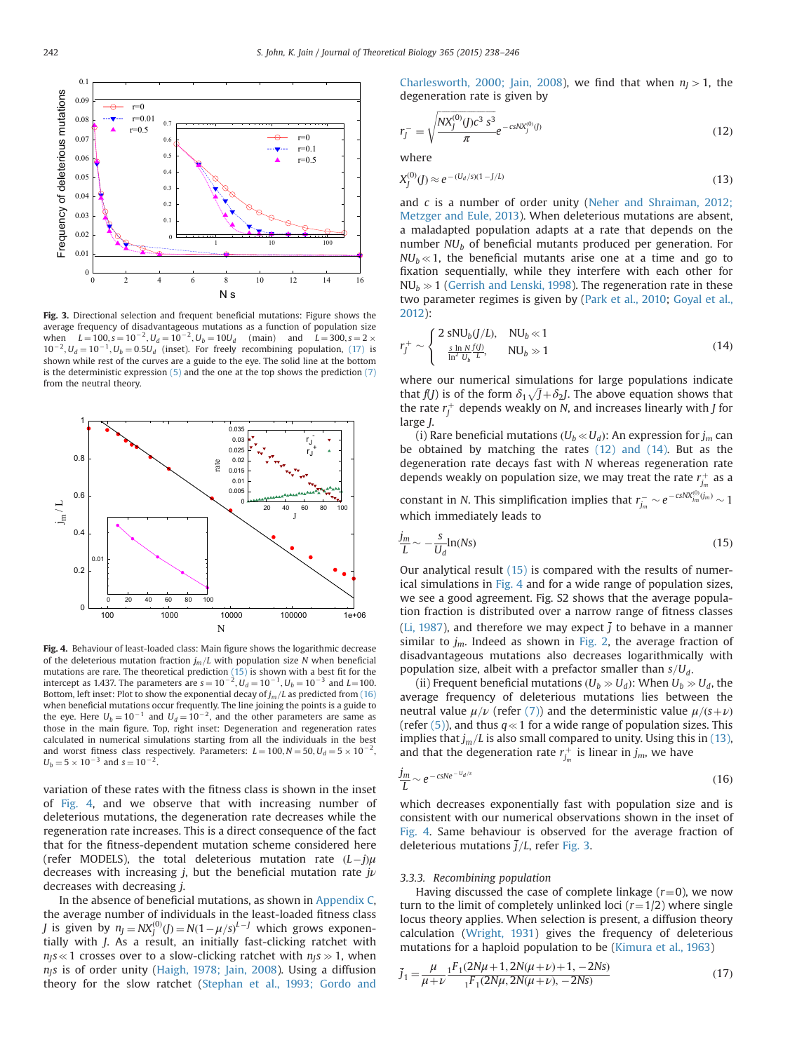<span id="page-4-0"></span>

Fig. 3. Directional selection and frequent beneficial mutations: Figure shows the average frequency of disadvantageous mutations as a function of population size when  $L = 100$ ,  $s = 10^{-2}$ ,  $U_d = 10^{-2}$ ,  $U_b = 10U_d$  (main) and  $L = 300$ ,  $s = 2 \times$  $10^{-2}$ ,  $U_d = 10^{-1}$ ,  $U_b = 0.5U_d$  (inset). For freely recombining population, (17) is shown while rest of the curves are a guide to the eye. The solid line at the bottom is the deterministic expression  $(5)$  and the one at the top shows the prediction  $(7)$ from the neutral theory.



Fig. 4. Behaviour of least-loaded class: Main figure shows the logarithmic decrease of the deleterious mutation fraction  $j_m/L$  with population size N when beneficial mutations are rare. The theoretical prediction (15) is shown with a best fit for the intercept as 1.437. The parameters are  $s = 10^{-2}$ ,  $U_d = 10^{-1}$ ,  $U_b = 10^{-3}$  and  $L = 100$ . Bottom, left inset: Plot to show the exponential decay of  $j_m/L$  as predicted from (16) when beneficial mutations occur frequently. The line joining the points is a guide to the eye. Here  $U_b = 10^{-1}$  and  $U_d = 10^{-2}$ , and the other parameters are same as those in the main figure. Top, right inset: Degeneration and regeneration rates calculated in numerical simulations starting from all the individuals in the best and worst fitness class respectively. Parameters:  $L = 100, N = 50, U_d = 5 \times 10^{-7}$  $U_b = 5 \times 10^{-3}$  and  $s = 10^{-2}$ .

variation of these rates with the fitness class is shown in the inset of Fig. 4, and we observe that with increasing number of deleterious mutations, the degeneration rate decreases while the regeneration rate increases. This is a direct consequence of the fact that for the fitness-dependent mutation scheme considered here (refer MODELS), the total deleterious mutation rate  $(L-j)\mu$ decreases with increasing j, but the beneficial mutation rate  $j\nu$ decreases with decreasing j.

In the absence of beneficial mutations, as shown in [Appendix C,](#page-7-0) the average number of individuals in the least-loaded fitness class *J* is given by  $n_j = N(X_j^{(0)}(J)) = N(1 - \mu/s)^{L-J}$  which grows exponentially with J. As a result, an initially fast-clicking ratchet with  $n<sub>1</sub>s<sub>4</sub>$  crosses over to a slow-clicking ratchet with  $n<sub>1</sub>s<sub>3</sub>$  when  $n<sub>l</sub>s$  is of order unity [\(Haigh, 1978; Jain, 2008](#page-8-0)). Using a diffusion theory for the slow ratchet ([Stephan et al., 1993; Gordo and](#page-8-0)

[Charlesworth, 2000; Jain, 2008](#page-8-0)), we find that when  $n<sub>I</sub> > 1$ , the degeneration rate is given by

$$
r_{J}^{-} = \sqrt{\frac{NX_{J}^{(0)}(J)c^{3} s^{3}}{\pi}} e^{-c s N X_{J}^{(0)}(J)}
$$
(12)

where

$$
X_j^{(0)}(J) \approx e^{-(U_d/s)(1-J/L)}
$$
\n(13)

and c is a number of order unity ([Neher and Shraiman, 2012;](#page-8-0) [Metzger and Eule, 2013\)](#page-8-0). When deleterious mutations are absent, a maladapted population adapts at a rate that depends on the number  $NU<sub>b</sub>$  of beneficial mutants produced per generation. For  $NU<sub>b</sub> \ll 1$ , the beneficial mutants arise one at a time and go to fixation sequentially, while they interfere with each other for  $NU<sub>b</sub> \gg 1$  [\(Gerrish and Lenski, 1998](#page-8-0)). The regeneration rate in these two parameter regimes is given by [\(Park et al., 2010](#page-8-0); [Goyal et al.,](#page-8-0) [2012](#page-8-0)):

$$
r_j^+ \sim \begin{cases} 2 \text{ sNU}_b(J/L), & \text{NU}_b \ll 1\\ \frac{\text{s in } Nf(J)}{\ln^2 U_b} & \text{NU}_b \gg 1 \end{cases}
$$
(14)

where our numerical simulations for large populations indicate that  $f(J)$  is of the form  $\delta_1 \sqrt{J} + \delta_2 J$ . The above equation shows that the rate  $r_j^+$  depends weakly on N, and increases linearly with J for large J.

(i) Rare beneficial mutations ( $U_b \ll U_d$ ): An expression for  $j_m$  can be obtained by matching the rates (12) and (14). But as the degeneration rate decays fast with N whereas regeneration rate depends weakly on population size, we may treat the rate  $r_{j_m}^+$  as a constant in N. This simplification implies that  $r_{j_m}^- \sim e^{-c s N X_{j_m}^{(0)}(j_m)} \sim 1$ which immediately leads to

$$
\frac{j_m}{L} \sim -\frac{S}{U_d} \ln(Ns) \tag{15}
$$

Our analytical result (15) is compared with the results of numerical simulations in Fig. 4 and for a wide range of population sizes, we see a good agreement. Fig. S2 shows that the average population fraction is distributed over a narrow range of fitness classes ([Li, 1987](#page-8-0)), and therefore we may expect  $\bar{j}$  to behave in a manner similar to  $j_m$ . Indeed as shown in [Fig. 2](#page-3-0), the average fraction of disadvantageous mutations also decreases logarithmically with population size, albeit with a prefactor smaller than  $s/U_d$ .

(ii) Frequent beneficial mutations ( $U_b \gg U_d$ ): When  $U_b \gg U_d$ , the average frequency of deleterious mutations lies between the neutral value  $\mu/\nu$  (refer [\(7\)\)](#page-2-0) and the deterministic value  $\mu/(s+\nu)$ (refer  $(5)$ ), and thus  $q \ll 1$  for a wide range of population sizes. This implies that  $j_m/L$  is also small compared to unity. Using this in (13), and that the degeneration rate  $r_{j_m}^+$  is linear in  $j_m$ , we have

$$
\frac{j_m}{L} \sim e^{-cSNe^{-U_d/s}}
$$
\n(16)

which decreases exponentially fast with population size and is consistent with our numerical observations shown in the inset of Fig. 4. Same behaviour is observed for the average fraction of deleterious mutations  $\overline{i}/L$ , refer Fig. 3.

### 3.3.3. Recombining population

Having discussed the case of complete linkage ( $r=0$ ), we now turn to the limit of completely unlinked loci  $(r=1/2)$  where single locus theory applies. When selection is present, a diffusion theory calculation [\(Wright, 1931](#page-8-0)) gives the frequency of deleterious mutations for a haploid population to be [\(Kimura et al., 1963\)](#page-8-0)

$$
\bar{j}_1 = \frac{\mu}{\mu + \nu} \frac{{}_1 F_1(2N\mu + 1, 2N(\mu + \nu) + 1, -2Ns)}{{}_1 F_1(2N\mu, 2N(\mu + \nu), -2Ns)}
$$
(17)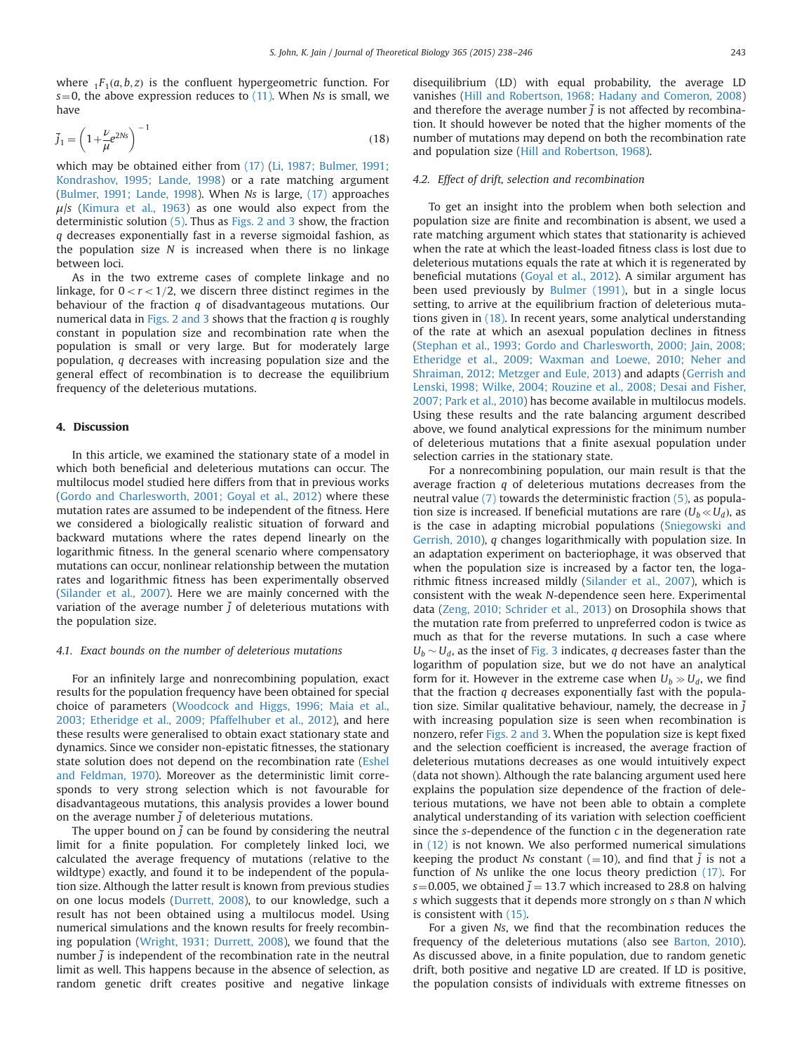<span id="page-5-0"></span>where  $_1F_1(a, b, z)$  is the confluent hypergeometric function. For  $s=0$ , the above expression reduces to [\(11\)](#page-3-0). When Ns is small, we have

$$
\bar{j}_1 = \left(1 + \frac{\nu}{\mu} e^{2Ns}\right)^{-1}
$$
\n(18)

which may be obtained either from [\(17\)](#page-4-0) [\(Li, 1987; Bulmer, 1991;](#page-7-0) [Kondrashov, 1995; Lande, 1998\)](#page-8-0) or a rate matching argument ([Bulmer, 1991; Lande, 1998\)](#page-8-0). When Ns is large, [\(17\)](#page-4-0) approaches  $\mu$ /s [\(Kimura et al., 1963](#page-8-0)) as one would also expect from the deterministic solution [\(5\)](#page-2-0). Thus as [Figs. 2 and 3](#page-4-0) show, the fraction q decreases exponentially fast in a reverse sigmoidal fashion, as the population size  $N$  is increased when there is no linkage between loci.

As in the two extreme cases of complete linkage and no linkage, for  $0 < r < 1/2$ , we discern three distinct regimes in the behaviour of the fraction q of disadvantageous mutations. Our numerical data in [Figs. 2 and 3](#page-4-0) shows that the fraction  $q$  is roughly constant in population size and recombination rate when the population is small or very large. But for moderately large population, q decreases with increasing population size and the general effect of recombination is to decrease the equilibrium frequency of the deleterious mutations.

## 4. Discussion

In this article, we examined the stationary state of a model in which both beneficial and deleterious mutations can occur. The multilocus model studied here differs from that in previous works ([Gordo and Charlesworth, 2001; Goyal et al., 2012](#page-8-0)) where these mutation rates are assumed to be independent of the fitness. Here we considered a biologically realistic situation of forward and backward mutations where the rates depend linearly on the logarithmic fitness. In the general scenario where compensatory mutations can occur, nonlinear relationship between the mutation rates and logarithmic fitness has been experimentally observed ([Silander et al., 2007](#page-8-0)). Here we are mainly concerned with the variation of the average number  $\overline{i}$  of deleterious mutations with the population size.

#### 4.1. Exact bounds on the number of deleterious mutations

For an infinitely large and nonrecombining population, exact results for the population frequency have been obtained for special choice of parameters [\(Woodcock and Higgs, 1996; Maia et al.,](#page-8-0) [2003; Etheridge et al., 2009; Pfaffelhuber et al., 2012\)](#page-8-0), and here these results were generalised to obtain exact stationary state and dynamics. Since we consider non-epistatic fitnesses, the stationary state solution does not depend on the recombination rate ([Eshel](#page-7-0) [and Feldman, 1970\)](#page-7-0). Moreover as the deterministic limit corresponds to very strong selection which is not favourable for disadvantageous mutations, this analysis provides a lower bound on the average number  $\overline{j}$  of deleterious mutations.

The upper bound on  $\overline{j}$  can be found by considering the neutral limit for a finite population. For completely linked loci, we calculated the average frequency of mutations (relative to the wildtype) exactly, and found it to be independent of the population size. Although the latter result is known from previous studies on one locus models [\(Durrett, 2008](#page-7-0)), to our knowledge, such a result has not been obtained using a multilocus model. Using numerical simulations and the known results for freely recombining population ([Wright, 1931; Durrett, 2008\)](#page-7-0), we found that the number  $j$  is independent of the recombination rate in the neutral limit as well. This happens because in the absence of selection, as random genetic drift creates positive and negative linkage disequilibrium (LD) with equal probability, the average LD vanishes [\(Hill and Robertson, 1968; Hadany and Comeron, 2008\)](#page-8-0) and therefore the average number  $\overline{j}$  is not affected by recombination. It should however be noted that the higher moments of the number of mutations may depend on both the recombination rate and population size ([Hill and Robertson, 1968\)](#page-8-0).

### 4.2. Effect of drift, selection and recombination

To get an insight into the problem when both selection and population size are finite and recombination is absent, we used a rate matching argument which states that stationarity is achieved when the rate at which the least-loaded fitness class is lost due to deleterious mutations equals the rate at which it is regenerated by beneficial mutations [\(Goyal et al., 2012](#page-8-0)). A similar argument has been used previously by [Bulmer \(1991\)](#page-7-0), but in a single locus setting, to arrive at the equilibrium fraction of deleterious mutations given in (18). In recent years, some analytical understanding of the rate at which an asexual population declines in fitness ([Stephan et al., 1993; Gordo and Charlesworth, 2000; Jain, 2008;](#page-8-0) [Etheridge et al., 2009; Waxman and Loewe, 2010; Neher and](#page-8-0) [Shraiman, 2012; Metzger and Eule, 2013](#page-8-0)) and adapts ([Gerrish and](#page-8-0) [Lenski, 1998; Wilke, 2004; Rouzine et al., 2008; Desai and Fisher,](#page-7-0) [2007; Park et al., 2010\)](#page-8-0) has become available in multilocus models. Using these results and the rate balancing argument described above, we found analytical expressions for the minimum number of deleterious mutations that a finite asexual population under selection carries in the stationary state.

For a nonrecombining population, our main result is that the average fraction q of deleterious mutations decreases from the neutral value [\(7\)](#page-2-0) towards the deterministic fraction [\(5\),](#page-2-0) as population size is increased. If beneficial mutations are rare  $(U_b \ll U_d)$ , as is the case in adapting microbial populations [\(Sniegowski and](#page-8-0) [Gerrish, 2010](#page-8-0)), q changes logarithmically with population size. In an adaptation experiment on bacteriophage, it was observed that when the population size is increased by a factor ten, the logarithmic fitness increased mildly ([Silander et al., 2007\)](#page-8-0), which is consistent with the weak N-dependence seen here. Experimental data ([Zeng, 2010; Schrider et al., 2013\)](#page-8-0) on Drosophila shows that the mutation rate from preferred to unpreferred codon is twice as much as that for the reverse mutations. In such a case where  $U_b \sim U_d$ , as the inset of [Fig. 3](#page-4-0) indicates, q decreases faster than the logarithm of population size, but we do not have an analytical form for it. However in the extreme case when  $U_b \gg U_d$ , we find that the fraction  $q$  decreases exponentially fast with the population size. Similar qualitative behaviour, namely, the decrease in  $j$ with increasing population size is seen when recombination is nonzero, refer [Figs. 2 and 3](#page-4-0). When the population size is kept fixed and the selection coefficient is increased, the average fraction of deleterious mutations decreases as one would intuitively expect (data not shown). Although the rate balancing argument used here explains the population size dependence of the fraction of deleterious mutations, we have not been able to obtain a complete analytical understanding of its variation with selection coefficient since the s-dependence of the function c in the degeneration rate in [\(12\)](#page-4-0) is not known. We also performed numerical simulations keeping the product Ns constant (=10), and find that  $\bar{j}$  is not a function of Ns unlike the one locus theory prediction [\(17\)](#page-4-0). For s=0.005, we obtained  $\bar{j}$  = 13.7 which increased to 28.8 on halving s which suggests that it depends more strongly on s than N which is consistent with [\(15\).](#page-4-0)

For a given Ns, we find that the recombination reduces the frequency of the deleterious mutations (also see [Barton, 2010\)](#page-7-0). As discussed above, in a finite population, due to random genetic drift, both positive and negative LD are created. If LD is positive, the population consists of individuals with extreme fitnesses on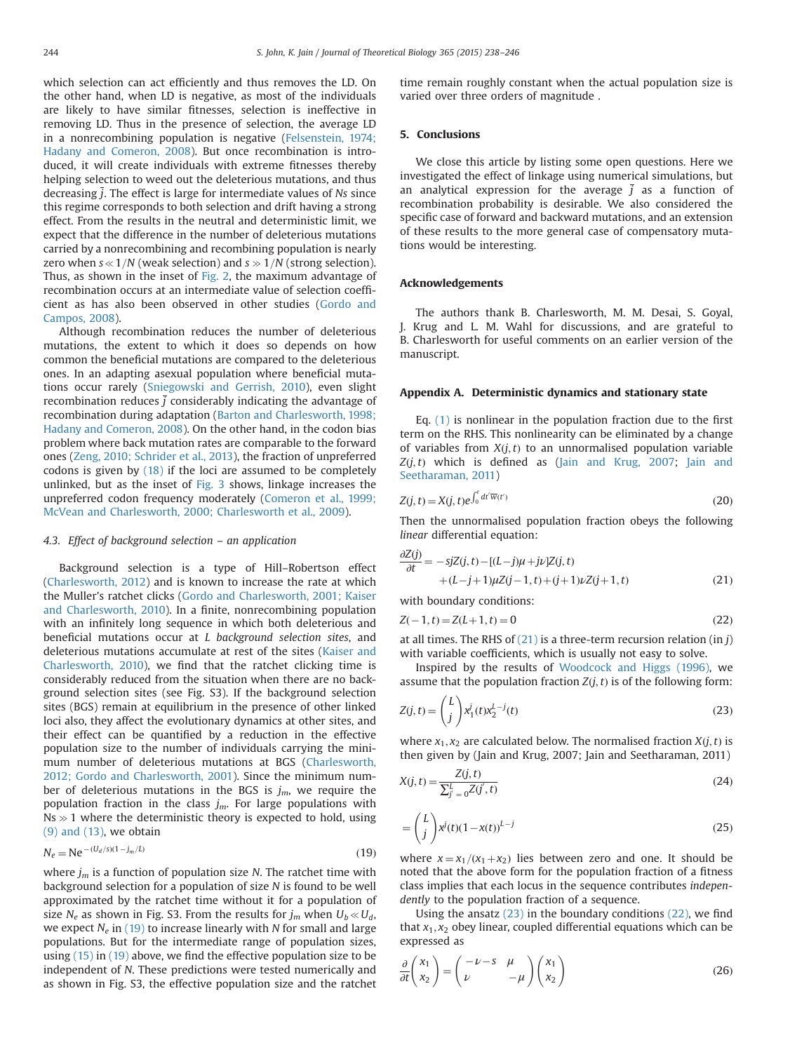<span id="page-6-0"></span>which selection can act efficiently and thus removes the LD. On the other hand, when LD is negative, as most of the individuals are likely to have similar fitnesses, selection is ineffective in removing LD. Thus in the presence of selection, the average LD in a nonrecombining population is negative [\(Felsenstein, 1974;](#page-7-0) [Hadany and Comeron, 2008\)](#page-8-0). But once recombination is introduced, it will create individuals with extreme fitnesses thereby helping selection to weed out the deleterious mutations, and thus decreasing  $\overline{j}$ . The effect is large for intermediate values of Ns since this regime corresponds to both selection and drift having a strong effect. From the results in the neutral and deterministic limit, we expect that the difference in the number of deleterious mutations carried by a nonrecombining and recombining population is nearly zero when  $s \ll 1/N$  (weak selection) and  $s \gg 1/N$  (strong selection). Thus, as shown in the inset of [Fig. 2,](#page-3-0) the maximum advantage of recombination occurs at an intermediate value of selection coefficient as has also been observed in other studies [\(Gordo and](#page-8-0) [Campos, 2008\)](#page-8-0).

Although recombination reduces the number of deleterious mutations, the extent to which it does so depends on how common the beneficial mutations are compared to the deleterious ones. In an adapting asexual population where beneficial mutations occur rarely [\(Sniegowski and Gerrish, 2010](#page-8-0)), even slight recombination reduces  $\overline{j}$  considerably indicating the advantage of recombination during adaptation ([Barton and Charlesworth, 1998;](#page-7-0) [Hadany and Comeron, 2008\)](#page-8-0). On the other hand, in the codon bias problem where back mutation rates are comparable to the forward ones ([Zeng, 2010; Schrider et al., 2013\)](#page-8-0), the fraction of unpreferred codons is given by [\(18\)](#page-5-0) if the loci are assumed to be completely unlinked, but as the inset of [Fig. 3](#page-4-0) shows, linkage increases the unpreferred codon frequency moderately ([Comeron et al., 1999;](#page-7-0) [McVean and Charlesworth, 2000; Charlesworth et al., 2009\)](#page-7-0).

## 4.3. Effect of background selection – an application

Background selection is a type of Hill–Robertson effect ([Charlesworth, 2012\)](#page-7-0) and is known to increase the rate at which the Muller's ratchet clicks [\(Gordo and Charlesworth, 2001; Kaiser](#page-8-0) [and Charlesworth, 2010\)](#page-8-0). In a finite, nonrecombining population with an infinitely long sequence in which both deleterious and beneficial mutations occur at L background selection sites, and deleterious mutations accumulate at rest of the sites [\(Kaiser and](#page-8-0) [Charlesworth, 2010](#page-8-0)), we find that the ratchet clicking time is considerably reduced from the situation when there are no background selection sites (see Fig. S3). If the background selection sites (BGS) remain at equilibrium in the presence of other linked loci also, they affect the evolutionary dynamics at other sites, and their effect can be quantified by a reduction in the effective population size to the number of individuals carrying the minimum number of deleterious mutations at BGS ([Charlesworth,](#page-7-0) [2012; Gordo and Charlesworth, 2001\)](#page-8-0). Since the minimum number of deleterious mutations in the BGS is  $j_m$ , we require the population fraction in the class  $j_m$ . For large populations with  $Ns \gg 1$  where the deterministic theory is expected to hold, using [\(9\) and \(13\)](#page-4-0), we obtain

$$
N_e = \text{Ne}^{-(U_d/s)(1-j_m/L)}
$$
(19)

where  $j_m$  is a function of population size N. The ratchet time with background selection for a population of size N is found to be well approximated by the ratchet time without it for a population of size N<sub>e</sub> as shown in Fig. S3. From the results for  $j_m$  when  $U_b \ll U_d$ , we expect  $N_e$  in (19) to increase linearly with N for small and large populations. But for the intermediate range of population sizes, using [\(15\)](#page-4-0) in (19) above, we find the effective population size to be independent of N. These predictions were tested numerically and as shown in Fig. S3, the effective population size and the ratchet

time remain roughly constant when the actual population size is varied over three orders of magnitude .

# 5. Conclusions

We close this article by listing some open questions. Here we investigated the effect of linkage using numerical simulations, but an analytical expression for the average  $\overline{i}$  as a function of recombination probability is desirable. We also considered the specific case of forward and backward mutations, and an extension of these results to the more general case of compensatory mutations would be interesting.

## Acknowledgements

The authors thank B. Charlesworth, M. M. Desai, S. Goyal, J. Krug and L. M. Wahl for discussions, and are grateful to B. Charlesworth for useful comments on an earlier version of the manuscript.

#### Appendix A. Deterministic dynamics and stationary state

Eq. [\(1\)](#page-2-0) is nonlinear in the population fraction due to the first term on the RHS. This nonlinearity can be eliminated by a change of variables from  $X(j, t)$  to an unnormalised population variable  $Z(j, t)$  which is defined as ([Jain and Krug, 2007;](#page-8-0) [Jain and](#page-8-0) [Seetharaman, 2011\)](#page-8-0)

$$
Z(j,t) = X(j,t)e^{\int_0^t dt'\overline{w}(t')}
$$
\n(20)

Then the unnormalised population fraction obeys the following linear differential equation:

$$
\frac{\partial Z(j)}{\partial t} = -sjZ(j, t) - [(L-j)\mu + j\nu]Z(j, t) \n+ (L-j+1)\mu Z(j-1, t) + (j+1)\nu Z(j+1, t)
$$
\n(21)

with boundary conditions:

$$
Z(-1,t) = Z(L+1,t) = 0
$$
\n(22)

at all times. The RHS of  $(21)$  is a three-term recursion relation  $(in j)$ with variable coefficients, which is usually not easy to solve.

Inspired by the results of [Woodcock and Higgs \(1996\),](#page-8-0) we assume that the population fraction  $Z(j, t)$  is of the following form:

$$
Z(j,t) = \binom{L}{j} x_1^j(t) x_2^{L-j}(t)
$$
\n(23)

where  $x_1, x_2$  are calculated below. The normalised fraction  $X(j, t)$  is then given by (Jain and Krug, 2007; Jain and Seetharaman, 2011)

$$
X(j,t) = \frac{Z(j,t)}{\sum_{j'=0}^{L} Z(j',t)}
$$
\n(24)

$$
= {L \choose j} x^{j} (t) (1 - x(t))^{L-j}
$$
\n(25)

where  $x = x_1/(x_1+x_2)$  lies between zero and one. It should be noted that the above form for the population fraction of a fitness class implies that each locus in the sequence contributes independently to the population fraction of a sequence.

Using the ansatz  $(23)$  in the boundary conditions  $(22)$ , we find that  $x_1, x_2$  obey linear, coupled differential equations which can be expressed as

$$
\frac{\partial}{\partial t} \begin{pmatrix} x_1 \\ x_2 \end{pmatrix} = \begin{pmatrix} -\nu - s & \mu \\ \nu & -\mu \end{pmatrix} \begin{pmatrix} x_1 \\ x_2 \end{pmatrix}
$$
 (26)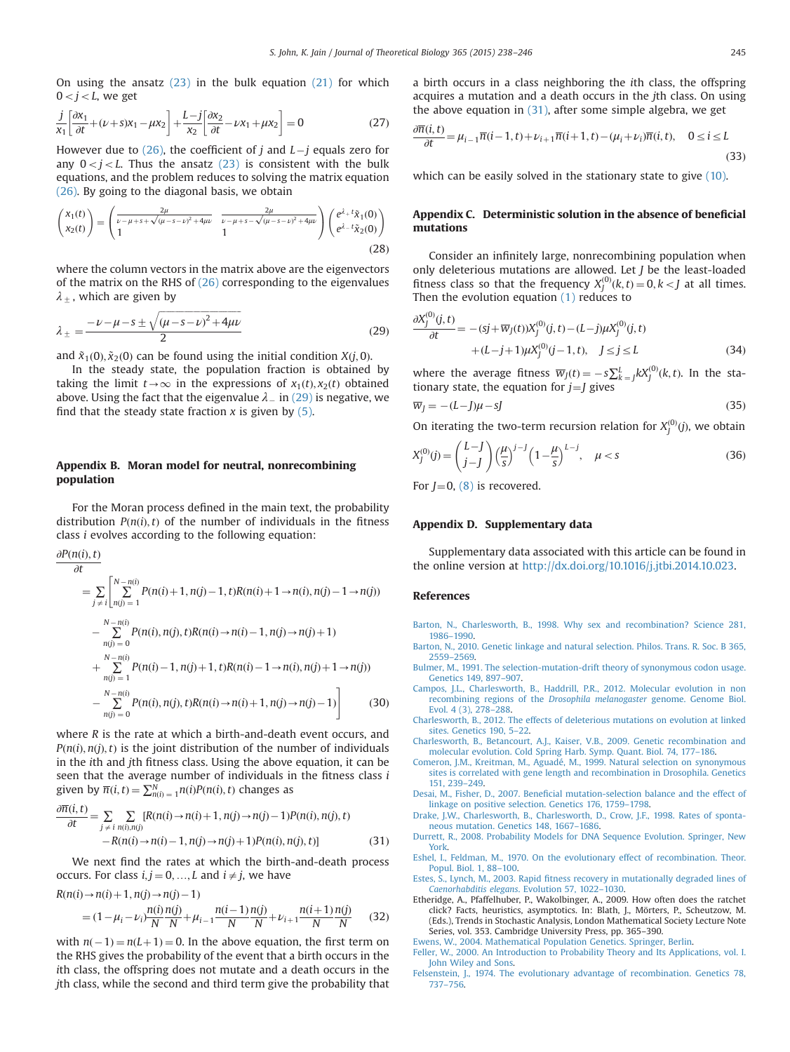<span id="page-7-0"></span>On using the ansatz  $(23)$  in the bulk equation  $(21)$  for which  $0 < j < L$ , we get

$$
\frac{j}{x_1} \left[ \frac{\partial x_1}{\partial t} + (\nu + s)x_1 - \mu x_2 \right] + \frac{L - j}{x_2} \left[ \frac{\partial x_2}{\partial t} - \nu x_1 + \mu x_2 \right] = 0 \tag{27}
$$

However due to [\(26\)](#page-6-0), the coefficient of j and  $L-j$  equals zero for any  $0 < j < L$ . Thus the ansatz [\(23\)](#page-6-0) is consistent with the bulk equations, and the problem reduces to solving the matrix equation [\(26\)](#page-6-0). By going to the diagonal basis, we obtain

$$
\begin{pmatrix} x_1(t) \\ x_2(t) \end{pmatrix} = \begin{pmatrix} \frac{2\mu}{\nu - \mu + s + \sqrt{(\mu - s - \nu)^2 + 4\mu\nu}} & \frac{2\mu}{\nu - \mu + s - \sqrt{(\mu - s - \nu)^2 + 4\mu\nu}} \\ 1 & 1 \end{pmatrix} \begin{pmatrix} e^{\lambda_+ t} \tilde{x}_1(0) \\ e^{\lambda_- t} \tilde{x}_2(0) \end{pmatrix}
$$
(28)

where the column vectors in the matrix above are the eigenvectors of the matrix on the RHS of [\(26\)](#page-6-0) corresponding to the eigenvalues  $\lambda$ <sub>+</sub>, which are given by

$$
\lambda_{\pm} = \frac{-\nu - \mu - s \pm \sqrt{(\mu - s - \nu)^2 + 4\mu\nu}}{2} \tag{29}
$$

and  $\tilde{x}_1(0), \tilde{x}_2(0)$  can be found using the initial condition  $X(j, 0)$ .

In the steady state, the population fraction is obtained by taking the limit  $t\rightarrow\infty$  in the expressions of  $x_1(t), x_2(t)$  obtained above. Using the fact that the eigenvalue  $\lambda_{-}$  in (29) is negative, we find that the steady state fraction  $x$  is given by [\(5\)](#page-2-0).

# Appendix B. Moran model for neutral, nonrecombining population

For the Moran process defined in the main text, the probability distribution  $P(n(i), t)$  of the number of individuals in the fitness class i evolves according to the following equation:

$$
\frac{\partial P(n(i), t)}{\partial t} = \sum_{j \neq i} \left[ \sum_{n(j) = 1}^{N - n(i)} P(n(i) + 1, n(j) - 1, t) R(n(i) + 1 \to n(i), n(j) - 1 \to n(j)) - \sum_{n(j) = 0}^{N - n(i)} P(n(i), n(j), t) R(n(i) \to n(i) - 1, n(j) \to n(j) + 1) + \sum_{n(j) = 1}^{N - n(i)} P(n(i) - 1, n(j) + 1, t) R(n(i) - 1 \to n(i), n(j) + 1 \to n(j)) - \sum_{n(j) = 0}^{N - n(i)} P(n(i), n(j), t) R(n(i) \to n(i) + 1, n(j) \to n(j) - 1) \right]
$$
(30)

where R is the rate at which a birth-and-death event occurs, and  $P(n(i), n(j), t)$  is the joint distribution of the number of individuals in the ith and jth fitness class. Using the above equation, it can be seen that the average number of individuals in the fitness class i given by  $\overline{n}(i,t) = \sum_{n(i) = 1}^{N} n(i)P(n(i),t)$  changes as

$$
\frac{\partial \overline{n}(i,t)}{\partial t} = \sum_{j \neq i} \sum_{n(i),n(j)} [R(n(i) \to n(i) + 1, n(j) \to n(j) - 1)P(n(i), n(j), t) - R(n(i) \to n(i) - 1, n(j) \to n(j) + 1)P(n(i), n(j), t)] \tag{31}
$$

We next find the rates at which the birth-and-death process occurs. For class  $i, j = 0, ..., L$  and  $i \neq j$ , we have

 $R(n(i) \rightarrow n(i) + 1, n(j) \rightarrow n(j) - 1)$ 

$$
= (1 - \mu_i - \nu_i) \frac{n(i)}{N} \frac{n(j)}{N} + \mu_{i-1} \frac{n(i-1)}{N} \frac{n(j)}{N} + \nu_{i+1} \frac{n(i+1)}{N} \frac{n(j)}{N}
$$
 (32)

with  $n(-1) = n(L+1) = 0$ . In the above equation, the first term on the RHS gives the probability of the event that a birth occurs in the ith class, the offspring does not mutate and a death occurs in the jth class, while the second and third term give the probability that a birth occurs in a class neighboring the ith class, the offspring acquires a mutation and a death occurs in the jth class. On using the above equation in  $(31)$ , after some simple algebra, we get

$$
\frac{\partial \overline{n}(i,t)}{\partial t} = \mu_{i-1} \overline{n}(i-1,t) + \nu_{i+1} \overline{n}(i+1,t) - (\mu_i + \nu_i) \overline{n}(i,t), \quad 0 \le i \le L
$$
\n(33)

which can be easily solved in the stationary state to give [\(10\)](#page-2-0).

# Appendix C. Deterministic solution in the absence of beneficial mutations

Consider an infinitely large, nonrecombining population when only deleterious mutations are allowed. Let J be the least-loaded fitness class so that the frequency  $X_j^{(0)}(k,t) = 0, k < J$  at all times. Then the evolution equation [\(1\)](#page-2-0) reduces to

$$
\frac{\partial X_j^{(0)}(j,t)}{\partial t} = -(sj + \overline{w}_j(t))X_j^{(0)}(j,t) - (L-j)\mu X_j^{(0)}(j,t) + (L-j+1)\mu X_j^{(0)}(j-1,t), \quad j \le j \le L
$$
\n(34)

where the average fitness  $\overline{w}_J(t) = -s \sum_k^L L_k(y^{(0)}(k, t))$ . In the stationary state, the equation for  $j = J$  gives

$$
\overline{w}_j = -(L-j)\mu - sJ \tag{35}
$$

On iterating the two-term recursion relation for  $X_j^{(0)}(j)$ , we obtain

$$
X_j^{(0)}(j) = \binom{L-J}{j-J} \left(\frac{\mu}{s}\right)^{j-J} \left(1 - \frac{\mu}{s}\right)^{L-j}, \quad \mu < s \tag{36}
$$

For  $J=0$ , [\(8\)](#page-2-0) is recovered.

#### Appendix D. Supplementary data

Supplementary data associated with this article can be found in the online version at [http://dx.doi.org/10.1016/j.jtbi.2014.10.023.](http://dx.doi.org/10.1016/j.jtbi.2014.10.023)

#### References

- [Barton, N., Charlesworth, B., 1998. Why sex and recombination? Science 281,](http://refhub.elsevier.com/S0022-5193(14)00613-4/sbref1) 1986–[1990.](http://refhub.elsevier.com/S0022-5193(14)00613-4/sbref1)
- [Barton, N., 2010. Genetic linkage and natural selection. Philos. Trans. R. Soc. B 365,](http://refhub.elsevier.com/S0022-5193(14)00613-4/sbref2) 2559–[2569.](http://refhub.elsevier.com/S0022-5193(14)00613-4/sbref2)
- [Bulmer, M., 1991. The selection-mutation-drift theory of synonymous codon usage.](http://refhub.elsevier.com/S0022-5193(14)00613-4/sbref3) [Genetics 149, 897](http://refhub.elsevier.com/S0022-5193(14)00613-4/sbref3)–907.
- [Campos, J.L., Charlesworth, B., Haddrill, P.R., 2012. Molecular evolution in non](http://refhub.elsevier.com/S0022-5193(14)00613-4/sbref4) [recombining regions of the](http://refhub.elsevier.com/S0022-5193(14)00613-4/sbref4) Drosophila melanogaster genome. Genome Biol. [Evol. 4 \(3\), 278](http://refhub.elsevier.com/S0022-5193(14)00613-4/sbref4)–288.
- [Charlesworth, B., 2012. The effects of deleterious mutations on evolution at linked](http://refhub.elsevier.com/S0022-5193(14)00613-4/sbref5) [sites. Genetics 190, 5](http://refhub.elsevier.com/S0022-5193(14)00613-4/sbref5)–22.
- [Charlesworth, B., Betancourt, A.J., Kaiser, V.B., 2009. Genetic recombination and](http://refhub.elsevier.com/S0022-5193(14)00613-4/sbref6) [molecular evolution. Cold Spring Harb. Symp. Quant. Biol. 74, 177](http://refhub.elsevier.com/S0022-5193(14)00613-4/sbref6)–186.
- [Comeron, J.M., Kreitman, M., Aguadé, M., 1999. Natural selection on synonymous](http://refhub.elsevier.com/S0022-5193(14)00613-4/sbref7) [sites is correlated with gene length and recombination in Drosophila. Genetics](http://refhub.elsevier.com/S0022-5193(14)00613-4/sbref7) [151, 239](http://refhub.elsevier.com/S0022-5193(14)00613-4/sbref7)–249.
- Desai, M., Fisher, D., 2007. Benefi[cial mutation-selection balance and the effect of](http://refhub.elsevier.com/S0022-5193(14)00613-4/sbref8) [linkage on positive selection. Genetics 176, 1759](http://refhub.elsevier.com/S0022-5193(14)00613-4/sbref8)–1798.
- [Drake, J.W., Charlesworth, B., Charlesworth, D., Crow, J.F., 1998. Rates of sponta](http://refhub.elsevier.com/S0022-5193(14)00613-4/sbref9)[neous mutation. Genetics 148, 1667](http://refhub.elsevier.com/S0022-5193(14)00613-4/sbref9)–1686.
- [Durrett, R., 2008. Probability Models for DNA Sequence Evolution. Springer, New](http://refhub.elsevier.com/S0022-5193(14)00613-4/sbref10) [York.](http://refhub.elsevier.com/S0022-5193(14)00613-4/sbref10)
- [Eshel, I., Feldman, M., 1970. On the evolutionary effect of recombination. Theor.](http://refhub.elsevier.com/S0022-5193(14)00613-4/sbref11) [Popul. Biol. 1, 88](http://refhub.elsevier.com/S0022-5193(14)00613-4/sbref11)–100.
- Estes, S., Lynch, M., 2003. Rapid fi[tness recovery in mutationally degraded lines of](http://refhub.elsevier.com/S0022-5193(14)00613-4/sbref12) [Caenorhabditis elegans](http://refhub.elsevier.com/S0022-5193(14)00613-4/sbref12). Evolution 57, 1022–1030.
- Etheridge, A., Pfaffelhuber, P., Wakolbinger, A., 2009. How often does the ratchet click? Facts, heuristics, asymptotics. In: Blath, J., Mörters, P., Scheutzow, M. (Eds.), Trends in Stochastic Analysis, London Mathematical Society Lecture Note Series, vol. 353. Cambridge University Press, pp. 365–390.

[Ewens, W., 2004. Mathematical Population Genetics. Springer, Berlin.](http://refhub.elsevier.com/S0022-5193(14)00613-4/sbref14)

[Feller, W., 2000. An Introduction to Probability Theory and Its Applications, vol. I.](http://refhub.elsevier.com/S0022-5193(14)00613-4/sbref15) [John Wiley and Sons.](http://refhub.elsevier.com/S0022-5193(14)00613-4/sbref15)

[Felsenstein, J., 1974. The evolutionary advantage of recombination. Genetics 78,](http://refhub.elsevier.com/S0022-5193(14)00613-4/sbref16) 737–[756.](http://refhub.elsevier.com/S0022-5193(14)00613-4/sbref16)